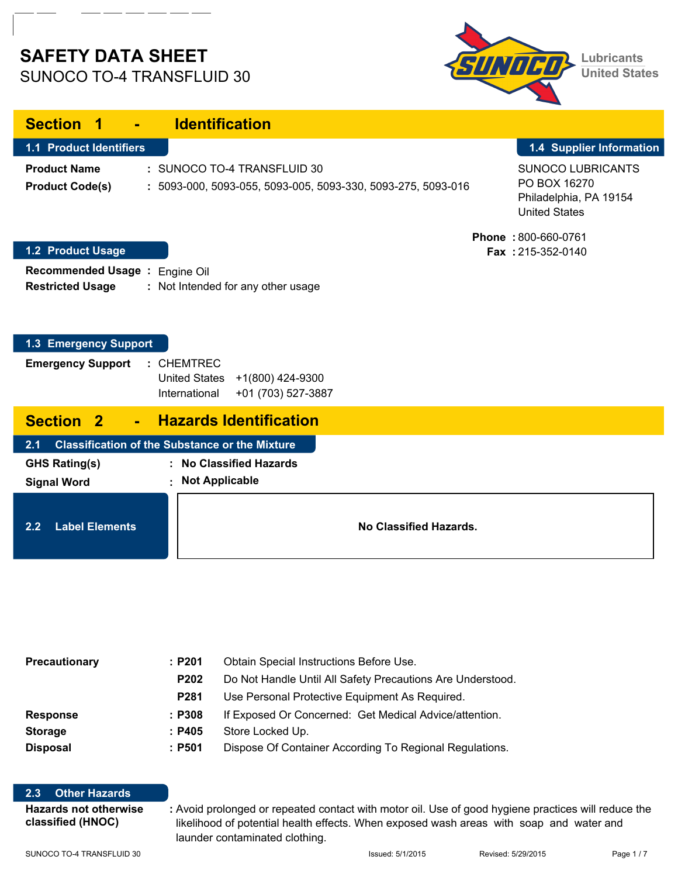# **SAFETY DATA SHEET** SUNOCO TO-4 TRANSFLUID 30



| <b>Section</b><br>1                                       | <b>Identification</b>                                                                         |                                                                                            |
|-----------------------------------------------------------|-----------------------------------------------------------------------------------------------|--------------------------------------------------------------------------------------------|
| 1.1 Product Identifiers                                   |                                                                                               | 1.4 Supplier Information                                                                   |
| <b>Product Name</b><br><b>Product Code(s)</b>             | : SUNOCO TO-4 TRANSFLUID 30<br>: 5093-000, 5093-055, 5093-005, 5093-330, 5093-275, 5093-016   | <b>SUNOCO LUBRICANTS</b><br>PO BOX 16270<br>Philadelphia, PA 19154<br><b>United States</b> |
| 1.2 Product Usage                                         |                                                                                               | Phone: 800-660-0761<br>Fax: 215-352-0140                                                   |
| Recommended Usage : Engine Oil<br><b>Restricted Usage</b> | : Not Intended for any other usage                                                            |                                                                                            |
| 1.3 Emergency Support                                     |                                                                                               |                                                                                            |
| <b>Emergency Support</b>                                  | : CHEMTREC<br><b>United States</b><br>+1(800) 424-9300<br>International<br>+01 (703) 527-3887 |                                                                                            |
| <b>Section</b><br>$\overline{2}$<br>$\Delta \phi$         | <b>Hazards Identification</b>                                                                 |                                                                                            |
| 2.1                                                       | <b>Classification of the Substance or the Mixture</b>                                         |                                                                                            |
| <b>GHS Rating(s)</b>                                      | <b>No Classified Hazards</b>                                                                  |                                                                                            |
| <b>Signal Word</b>                                        | <b>Not Applicable</b>                                                                         |                                                                                            |
| <b>Label Elements</b><br>2.2                              | No Classified Hazards.                                                                        |                                                                                            |
|                                                           |                                                                                               |                                                                                            |

| Precautionary   | :P201            | Obtain Special Instructions Before Use.                    |  |  |
|-----------------|------------------|------------------------------------------------------------|--|--|
|                 | P <sub>202</sub> | Do Not Handle Until All Safety Precautions Are Understood. |  |  |
|                 | <b>P281</b>      | Use Personal Protective Equipment As Required.             |  |  |
| <b>Response</b> | : P308           | If Exposed Or Concerned: Get Medical Advice/attention.     |  |  |
| <b>Storage</b>  | :P405            | Store Locked Up.                                           |  |  |
| <b>Disposal</b> | :P501            | Dispose Of Container According To Regional Regulations.    |  |  |

#### **2.3 Other Hazards**

**Hazards not otherwise : classified (HNOC)**

Avoid prolonged or repeated contact with motor oil. Use of good hygiene practices will reduce the likelihood of potential health effects. When exposed wash areas with soap and water and launder contaminated clothing.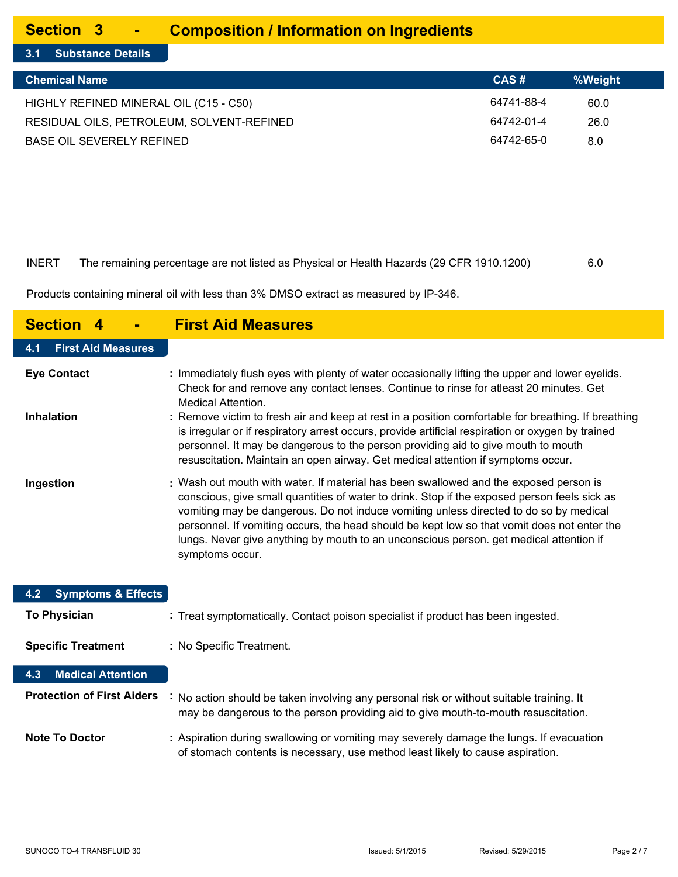#### **Section 3 - Composition / Information on Ingredients**

### **3.1 Substance Details**

| <b>Chemical Name</b>                      | CAS#       | %Weight |
|-------------------------------------------|------------|---------|
| HIGHLY REFINED MINERAL OIL (C15 - C50)    | 64741-88-4 | 60.0    |
| RESIDUAL OILS, PETROLEUM, SOLVENT-REFINED | 64742-01-4 | 26.0    |
| <b>BASE OIL SEVERELY REFINED</b>          | 64742-65-0 | 8.0     |

#### INERT The remaining percentage are not listed as Physical or Health Hazards (29 CFR 1910.1200) 6.0

Products containing mineral oil with less than 3% DMSO extract as measured by IP-346.

| <b>Section</b><br>- 4                | <b>First Aid Measures</b>                                                                                                                                                                                                                                                                                                                                                                                                                                                                  |
|--------------------------------------|--------------------------------------------------------------------------------------------------------------------------------------------------------------------------------------------------------------------------------------------------------------------------------------------------------------------------------------------------------------------------------------------------------------------------------------------------------------------------------------------|
| <b>First Aid Measures</b><br>4.1     |                                                                                                                                                                                                                                                                                                                                                                                                                                                                                            |
| <b>Eye Contact</b>                   | : Immediately flush eyes with plenty of water occasionally lifting the upper and lower eyelids.<br>Check for and remove any contact lenses. Continue to rinse for atleast 20 minutes. Get<br><b>Medical Attention.</b>                                                                                                                                                                                                                                                                     |
| <b>Inhalation</b>                    | : Remove victim to fresh air and keep at rest in a position comfortable for breathing. If breathing<br>is irregular or if respiratory arrest occurs, provide artificial respiration or oxygen by trained<br>personnel. It may be dangerous to the person providing aid to give mouth to mouth<br>resuscitation. Maintain an open airway. Get medical attention if symptoms occur.                                                                                                          |
| Ingestion                            | : Wash out mouth with water. If material has been swallowed and the exposed person is<br>conscious, give small quantities of water to drink. Stop if the exposed person feels sick as<br>vomiting may be dangerous. Do not induce vomiting unless directed to do so by medical<br>personnel. If vomiting occurs, the head should be kept low so that vomit does not enter the<br>lungs. Never give anything by mouth to an unconscious person. get medical attention if<br>symptoms occur. |
| <b>Symptoms &amp; Effects</b><br>4.2 |                                                                                                                                                                                                                                                                                                                                                                                                                                                                                            |
| <b>To Physician</b>                  | : Treat symptomatically. Contact poison specialist if product has been ingested.                                                                                                                                                                                                                                                                                                                                                                                                           |
| <b>Specific Treatment</b>            | : No Specific Treatment.                                                                                                                                                                                                                                                                                                                                                                                                                                                                   |
| <b>Medical Attention</b><br>4.3      |                                                                                                                                                                                                                                                                                                                                                                                                                                                                                            |
| <b>Protection of First Aiders</b>    | No action should be taken involving any personal risk or without suitable training. It<br>may be dangerous to the person providing aid to give mouth-to-mouth resuscitation.                                                                                                                                                                                                                                                                                                               |
| <b>Note To Doctor</b>                | : Aspiration during swallowing or vomiting may severely damage the lungs. If evacuation<br>of stomach contents is necessary, use method least likely to cause aspiration.                                                                                                                                                                                                                                                                                                                  |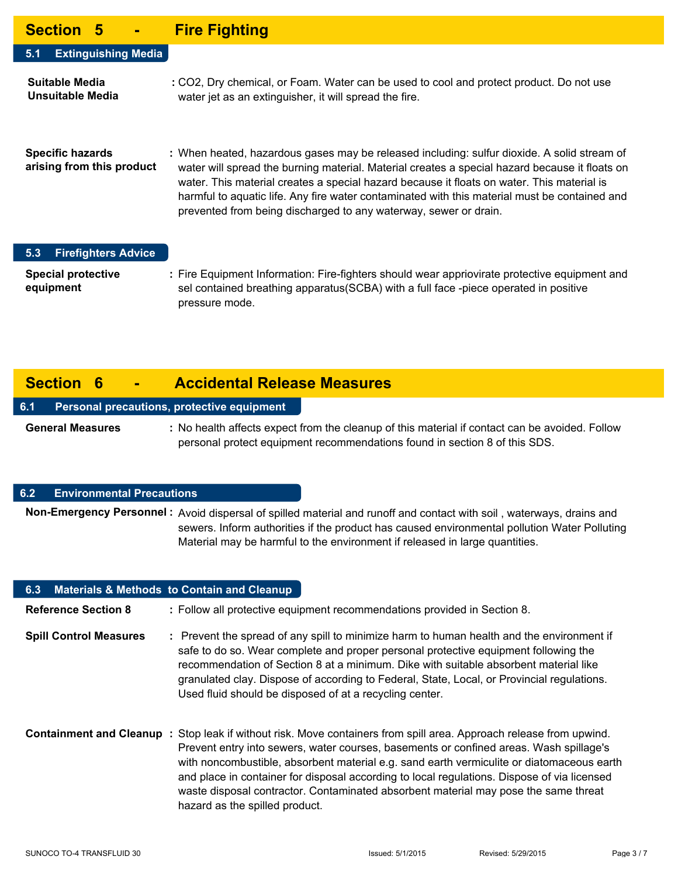### **Section 5 - Fire Fighting**

| -------                                              | <u>i IIV i Iviituin</u>                                                                                                                                                                                                                                                                                                                                                                                                                                          |
|------------------------------------------------------|------------------------------------------------------------------------------------------------------------------------------------------------------------------------------------------------------------------------------------------------------------------------------------------------------------------------------------------------------------------------------------------------------------------------------------------------------------------|
| <b>Extinguishing Media</b><br>5.1                    |                                                                                                                                                                                                                                                                                                                                                                                                                                                                  |
| Suitable Media<br>Unsuitable Media                   | : CO2, Dry chemical, or Foam. Water can be used to cool and protect product. Do not use<br>water jet as an extinguisher, it will spread the fire.                                                                                                                                                                                                                                                                                                                |
| <b>Specific hazards</b><br>arising from this product | : When heated, hazardous gases may be released including: sulfur dioxide. A solid stream of<br>water will spread the burning material. Material creates a special hazard because it floats on<br>water. This material creates a special hazard because it floats on water. This material is<br>harmful to aquatic life. Any fire water contaminated with this material must be contained and<br>prevented from being discharged to any waterway, sewer or drain. |

#### **5.3 Firefighters Advice**

**Special protective : equipment** Fire Equipment Information: Fire-fighters should wear appriovirate protective equipment and sel contained breathing apparatus(SCBA) with a full face -piece operated in positive pressure mode.

### **Section 6 - Accidental Release Measures**

#### **6.1 Personal precautions, protective equipment**

**General Measures :** No health affects expect from the cleanup of this material if contact can be avoided. Follow personal protect equipment recommendations found in section 8 of this SDS.

#### **6.2 Environmental Precautions**

Non-Emergency Personnel : Avoid dispersal of spilled material and runoff and contact with soil, waterways, drains and sewers. Inform authorities if the product has caused environmental pollution Water Polluting Material may be harmful to the environment if released in large quantities.

| 6.3 Materials & Methods to Contain and Cleanup |                                                                                                                                                                                                                                                                                                                                                                                                                                                                                                          |
|------------------------------------------------|----------------------------------------------------------------------------------------------------------------------------------------------------------------------------------------------------------------------------------------------------------------------------------------------------------------------------------------------------------------------------------------------------------------------------------------------------------------------------------------------------------|
| <b>Reference Section 8</b>                     | : Follow all protective equipment recommendations provided in Section 8.                                                                                                                                                                                                                                                                                                                                                                                                                                 |
| <b>Spill Control Measures</b>                  | : Prevent the spread of any spill to minimize harm to human health and the environment if<br>safe to do so. Wear complete and proper personal protective equipment following the<br>recommendation of Section 8 at a minimum. Dike with suitable absorbent material like<br>granulated clay. Dispose of according to Federal, State, Local, or Provincial regulations.<br>Used fluid should be disposed of at a recycling center.                                                                        |
| Containment and Cleanup:                       | Stop leak if without risk. Move containers from spill area. Approach release from upwind.<br>Prevent entry into sewers, water courses, basements or confined areas. Wash spillage's<br>with noncombustible, absorbent material e.g. sand earth vermiculite or diatomaceous earth<br>and place in container for disposal according to local regulations. Dispose of via licensed<br>waste disposal contractor. Contaminated absorbent material may pose the same threat<br>hazard as the spilled product. |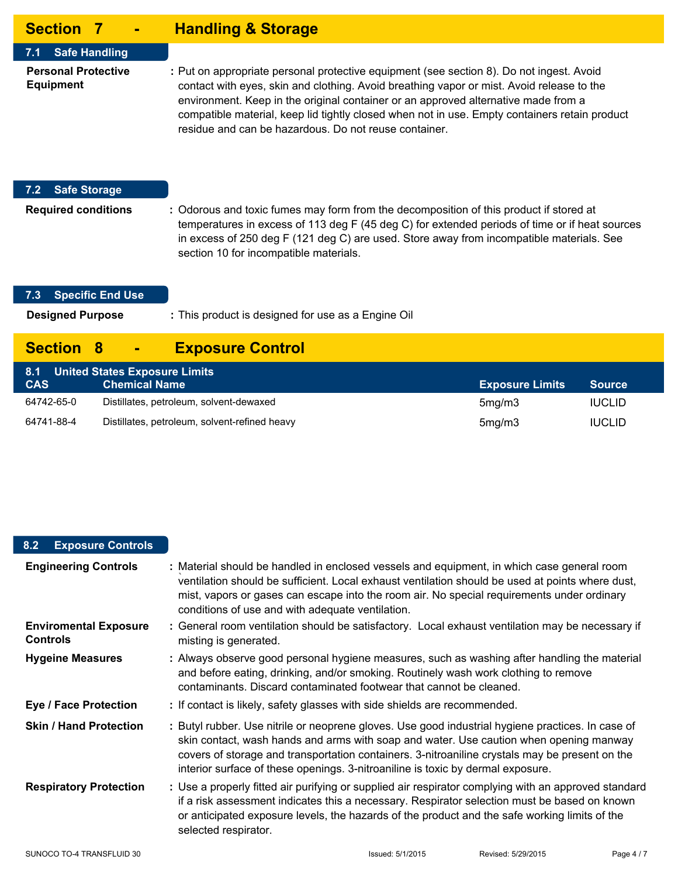| <b>Section 7</b><br><b>Contract</b>            | <b>Handling &amp; Storage</b>                                                                                                                                                                                                                                                                                                                                                                                                         |
|------------------------------------------------|---------------------------------------------------------------------------------------------------------------------------------------------------------------------------------------------------------------------------------------------------------------------------------------------------------------------------------------------------------------------------------------------------------------------------------------|
| <b>Safe Handling</b><br>$7.1 -$                |                                                                                                                                                                                                                                                                                                                                                                                                                                       |
| <b>Personal Protective</b><br><b>Equipment</b> | : Put on appropriate personal protective equipment (see section 8). Do not ingest. Avoid<br>contact with eyes, skin and clothing. Avoid breathing vapor or mist. Avoid release to the<br>environment. Keep in the original container or an approved alternative made from a<br>compatible material, keep lid tightly closed when not in use. Empty containers retain product<br>residue and can be hazardous. Do not reuse container. |
| 7.2<br><b>Safe Storage</b>                     |                                                                                                                                                                                                                                                                                                                                                                                                                                       |
| <b>Required conditions</b>                     | : Odorous and toxic fumes may form from the decomposition of this product if stored at<br>temperatures in excess of 113 deg F (45 deg C) for extended periods of time or if heat sources<br>in excess of 250 deg F (121 deg C) are used. Store away from incompatible materials. See<br>section 10 for incompatible materials.                                                                                                        |

### **7.3 Specific End Use**

This product is designed for use as a Engine Oil **Designed Purpose :**

# **Section 8 - Exposure Control**

| 8.1 United States Exposure Limits |                                               |                        |               |  |  |
|-----------------------------------|-----------------------------------------------|------------------------|---------------|--|--|
| <b>CAS</b>                        | <b>Chemical Name</b>                          | <b>Exposure Limits</b> | <b>Source</b> |  |  |
| 64742-65-0                        | Distillates, petroleum, solvent-dewaxed       | 5ma/m3                 | <b>IUCLID</b> |  |  |
| 64741-88-4                        | Distillates, petroleum, solvent-refined heavy | 5mg/m3                 | <b>IUCLID</b> |  |  |

#### **8.2 Exposure Controls**

| <b>Engineering Controls</b>                     | : Material should be handled in enclosed vessels and equipment, in which case general room<br>ventilation should be sufficient. Local exhaust ventilation should be used at points where dust,<br>mist, vapors or gases can escape into the room air. No special requirements under ordinary<br>conditions of use and with adequate ventilation.                                 |
|-------------------------------------------------|----------------------------------------------------------------------------------------------------------------------------------------------------------------------------------------------------------------------------------------------------------------------------------------------------------------------------------------------------------------------------------|
| <b>Enviromental Exposure</b><br><b>Controls</b> | : General room ventilation should be satisfactory. Local exhaust ventilation may be necessary if<br>misting is generated.                                                                                                                                                                                                                                                        |
| <b>Hygeine Measures</b>                         | : Always observe good personal hygiene measures, such as washing after handling the material<br>and before eating, drinking, and/or smoking. Routinely wash work clothing to remove<br>contaminants. Discard contaminated footwear that cannot be cleaned.                                                                                                                       |
| <b>Eye / Face Protection</b>                    | : If contact is likely, safety glasses with side shields are recommended.                                                                                                                                                                                                                                                                                                        |
| <b>Skin / Hand Protection</b>                   | : Butyl rubber. Use nitrile or neoprene gloves. Use good industrial hygiene practices. In case of<br>skin contact, wash hands and arms with soap and water. Use caution when opening manway<br>covers of storage and transportation containers. 3-nitroaniline crystals may be present on the<br>interior surface of these openings. 3-nitroaniline is toxic by dermal exposure. |
| <b>Respiratory Protection</b>                   | : Use a properly fitted air purifying or supplied air respirator complying with an approved standard<br>if a risk assessment indicates this a necessary. Respirator selection must be based on known<br>or anticipated exposure levels, the hazards of the product and the safe working limits of the<br>selected respirator.                                                    |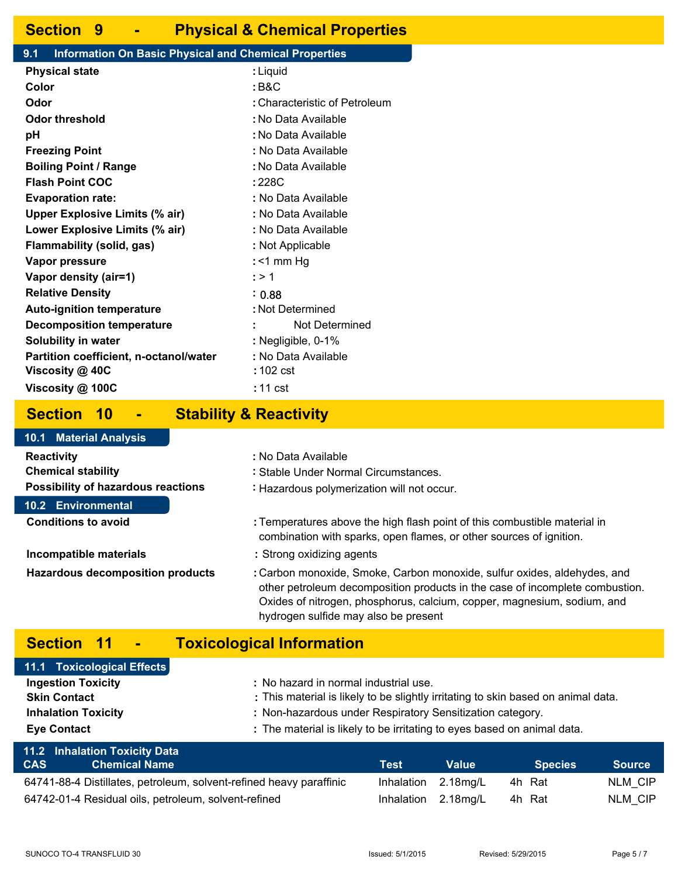### **Section 9 - Physical & Chemical Properties**

#### **9.1 Information On Basic Physical and Chemical Properties**

| <b>Physical state</b>                                         | : Liquid                      |  |  |  |
|---------------------------------------------------------------|-------------------------------|--|--|--|
| Color                                                         | : B&C                         |  |  |  |
| Odor                                                          | : Characteristic of Petroleum |  |  |  |
| Odor threshold                                                | : No Data Available           |  |  |  |
| рH                                                            | : No Data Available           |  |  |  |
| <b>Freezing Point</b>                                         | : No Data Available           |  |  |  |
| <b>Boiling Point / Range</b>                                  | : No Data Available           |  |  |  |
| <b>Flash Point COC</b>                                        | : 228C                        |  |  |  |
| : No Data Available<br><b>Evaporation rate:</b>               |                               |  |  |  |
| <b>Upper Explosive Limits (% air)</b>                         | : No Data Available           |  |  |  |
| Lower Explosive Limits (% air)                                | : No Data Available           |  |  |  |
| Flammability (solid, gas)<br>: Not Applicable                 |                               |  |  |  |
| <b>Vapor pressure</b>                                         | : <1 mm $Hg$                  |  |  |  |
| Vapor density (air=1)                                         | : > 1                         |  |  |  |
| <b>Relative Density</b>                                       | : 0.88                        |  |  |  |
| : Not Determined<br><b>Auto-ignition temperature</b>          |                               |  |  |  |
| Not Determined<br><b>Decomposition temperature</b>            |                               |  |  |  |
| Solubility in water<br>: Negligible, 0-1%                     |                               |  |  |  |
| Partition coefficient, n-octanol/water<br>: No Data Available |                               |  |  |  |
| Viscosity @ 40C                                               | : 102 cst                     |  |  |  |
| Viscosity @ 100C                                              | : 11 cst                      |  |  |  |
|                                                               |                               |  |  |  |

#### **Section 10 - Stability & Reactivity**

#### **Reactivity : Chemical stability : Possibility of hazardous reactions :** : No Data Available Stable Under Normal Circumstances. : Hazardous polymerization will not occur. Temperatures above the high flash point of this combustible material in combination with sparks, open flames, or other sources of ignition. **Incompatible materials : Hazardous decomposition products :** Strong oxidizing agents Carbon monoxide, Smoke, Carbon monoxide, sulfur oxides, aldehydes, and other petroleum decomposition products in the case of incomplete combustion. Oxides of nitrogen, phosphorus, calcium, copper, magnesium, sodium, and hydrogen sulfide may also be present **Conditions to avoid : 10.1 Material Analysis 10.2 Environmental**

## **Section 11 - Toxicological Information**

| 11.1 Toxicological Effects                                                              |                                                                                   |  |
|-----------------------------------------------------------------------------------------|-----------------------------------------------------------------------------------|--|
| <b>Ingestion Toxicity</b>                                                               | : No hazard in normal industrial use.                                             |  |
| <b>Skin Contact</b>                                                                     | : This material is likely to be slightly irritating to skin based on animal data. |  |
| : Non-hazardous under Respiratory Sensitization category.<br><b>Inhalation Toxicity</b> |                                                                                   |  |
| <b>Eye Contact</b>                                                                      | : The material is likely to be irritating to eyes based on animal data.           |  |
| 11.2 Inhalation Toxicity Data                                                           |                                                                                   |  |

| <b>CAS</b> | <b>Chemical Name</b>                                                | Test                | Value |        | <b>Species</b> | <b>Source</b> |
|------------|---------------------------------------------------------------------|---------------------|-------|--------|----------------|---------------|
|            | 64741-88-4 Distillates, petroleum, solvent-refined heavy paraffinic | Inhalation 2.18mg/L |       | 4h Rat |                | NLM CIP       |
|            | 64742-01-4 Residual oils, petroleum, solvent-refined                | Inhalation 2.18mg/L |       | 4h Rat |                | NLM CIP       |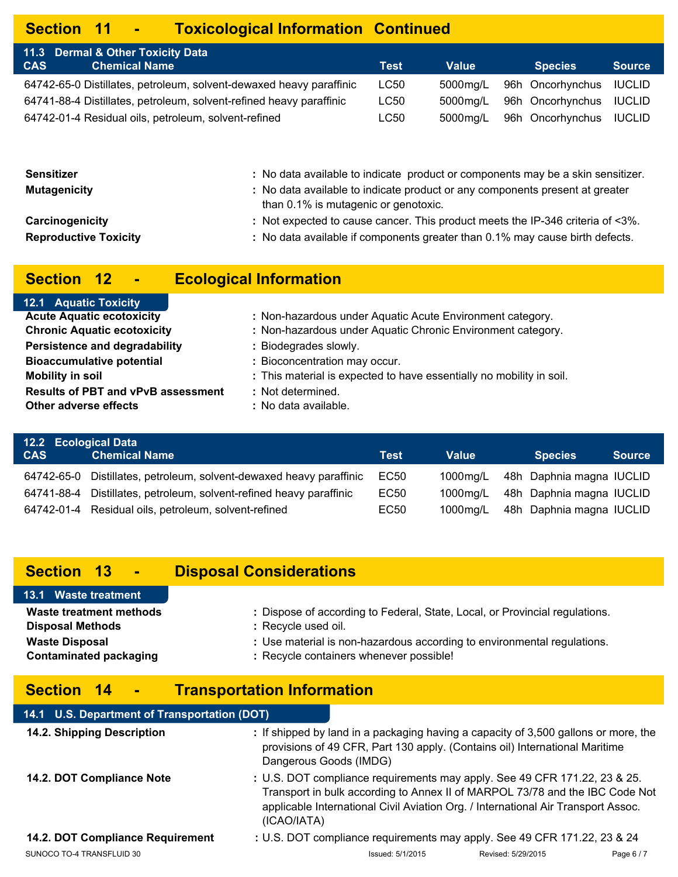# **Section 11 - Toxicological Information Continued**

| 11.3 Dermal & Other Toxicity Data                                   |             |          |                         |               |
|---------------------------------------------------------------------|-------------|----------|-------------------------|---------------|
| <b>Chemical Name</b><br><b>CAS</b>                                  | <b>Test</b> | Value    | <b>Species</b>          | <b>Source</b> |
| 64742-65-0 Distillates, petroleum, solvent-dewaxed heavy paraffinic | LC50        | 5000mg/L | 96h Oncorhynchus IUCLID |               |
| 64741-88-4 Distillates, petroleum, solvent-refined heavy paraffinic | LC50        | 5000mg/L | 96h Oncorhynchus IUCLID |               |
| 64742-01-4 Residual oils, petroleum, solvent-refined                | LC50        | 5000mg/L | 96h Oncorhynchus IUCLID |               |

| Sensitizer<br><b>Mutagenicity</b> | : No data available to indicate product or components may be a skin sensitizer.<br>: No data available to indicate product or any components present at greater<br>than 0.1% is mutagenic or genotoxic. |
|-----------------------------------|---------------------------------------------------------------------------------------------------------------------------------------------------------------------------------------------------------|
| Carcinogenicity                   | : Not expected to cause cancer. This product meets the IP-346 criteria of <3%.                                                                                                                          |
| <b>Reproductive Toxicity</b>      | : No data available if components greater than 0.1% may cause birth defects.                                                                                                                            |
|                                   |                                                                                                                                                                                                         |

# **Section 12 - Ecological Information**

| <b>12.1 Aquatic Toxicity</b>              |                                                                      |
|-------------------------------------------|----------------------------------------------------------------------|
| <b>Acute Aquatic ecotoxicity</b>          | : Non-hazardous under Aquatic Acute Environment category.            |
| <b>Chronic Aquatic ecotoxicity</b>        | : Non-hazardous under Aquatic Chronic Environment category.          |
| <b>Persistence and degradability</b>      | : Biodegrades slowly.                                                |
| <b>Bioaccumulative potential</b>          | : Bioconcentration may occur.                                        |
| <b>Mobility in soil</b>                   | : This material is expected to have essentially no mobility in soil. |
| <b>Results of PBT and vPvB assessment</b> | : Not determined.                                                    |
| Other adverse effects                     | : No data available.                                                 |
|                                           |                                                                      |

| 12.2 Ecological Data |                                                                     |             |              |                          |               |
|----------------------|---------------------------------------------------------------------|-------------|--------------|--------------------------|---------------|
| <b>CAS</b>           | <b>Chemical Name</b>                                                | <b>Test</b> | <b>Value</b> | <b>Species</b>           | <b>Source</b> |
|                      | 64742-65-0 Distillates, petroleum, solvent-dewaxed heavy paraffinic | EC50        | 1000ma/L     | 48h Daphnia magna IUCLID |               |
|                      | 64741-88-4 Distillates, petroleum, solvent-refined heavy paraffinic | EC50        | 1000ma/L     | 48h Daphnia magna IUCLID |               |
|                      | 64742-01-4 Residual oils, petroleum, solvent-refined                | EC50        | 1000ma/L     | 48h Daphnia magna IUCLID |               |

# **Section 13 - Disposal Considerations**

| 13.1 Waste treatment           |                                                                             |
|--------------------------------|-----------------------------------------------------------------------------|
| <b>Waste treatment methods</b> | : Dispose of according to Federal, State, Local, or Provincial regulations. |
| <b>Disposal Methods</b>        | : Recycle used oil.                                                         |
| <b>Waste Disposal</b>          | : Use material is non-hazardous according to environmental regulations.     |
| <b>Contaminated packaging</b>  | : Recycle containers whenever possible!                                     |

# **Section 14 - Transportation Information**

| 14.1 U.S. Department of Transportation (DOT) |                        |                                                                                                                                                                                                                                                |                    |          |
|----------------------------------------------|------------------------|------------------------------------------------------------------------------------------------------------------------------------------------------------------------------------------------------------------------------------------------|--------------------|----------|
| 14.2. Shipping Description                   | Dangerous Goods (IMDG) | : If shipped by land in a packaging having a capacity of 3,500 gallons or more, the<br>provisions of 49 CFR, Part 130 apply. (Contains oil) International Maritime                                                                             |                    |          |
| 14.2. DOT Compliance Note                    | (ICAO/IATA)            | : U.S. DOT compliance requirements may apply. See 49 CFR 171.22, 23 & 25.<br>Transport in bulk according to Annex II of MARPOL 73/78 and the IBC Code Not<br>applicable International Civil Aviation Org. / International Air Transport Assoc. |                    |          |
| 14.2. DOT Compliance Requirement             |                        | : U.S. DOT compliance requirements may apply. See 49 CFR 171.22, 23 & 24                                                                                                                                                                       |                    |          |
| SUNOCO TO-4 TRANSFLUID 30                    |                        | Issued: 5/1/2015                                                                                                                                                                                                                               | Revised: 5/29/2015 | Page 6/7 |